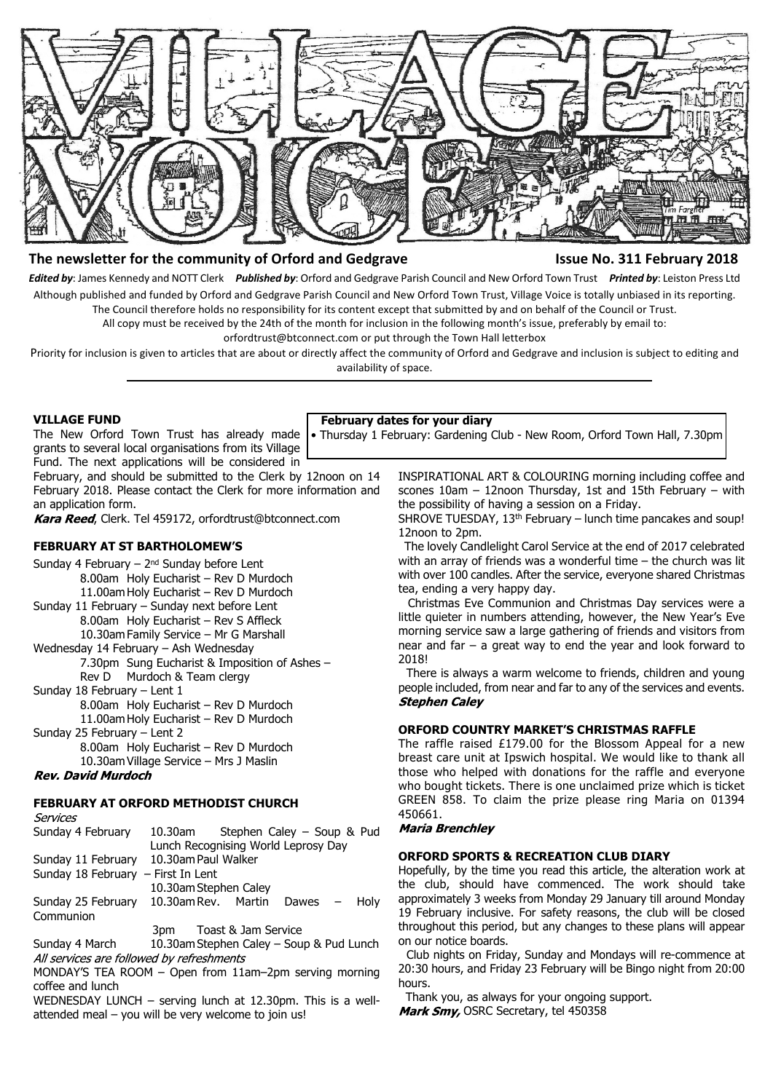

# **The newsletter for the community of Orford and Gedgrave Integral Community 1998 February 2018**

*Edited by*: James Kennedy and NOTT Clerk *Published by*: Orford and Gedgrave Parish Council and New Orford Town Trust *Printed by*: Leiston Press Ltd Although published and funded by Orford and Gedgrave Parish Council and New Orford Town Trust, Village Voice is totally unbiased in its reporting. The Council therefore holds no responsibility for its content except that submitted by and on behalf of the Council or Trust.

All copy must be received by the 24th of the month for inclusion in the following month's issue, preferably by email to:

orfordtrust@btconnect.com or put through the Town Hall letterbox

Priority for inclusion is given to articles that are about or directly affect the community of Orford and Gedgrave and inclusion is subject to editing and availability of space.

#### **VILLAGE FUND**

The New Orford Town Trust has already made grants to several local organisations from its Village Fund. The next applications will be considered in

February, and should be submitted to the Clerk by 12noon on 14 February 2018. Please contact the Clerk for more information and an application form.

Kara Reed, Clerk. Tel 459172, orfordtrust@btconnect.com

# **FEBRUARY AT ST BARTHOLOMEW'S**

Sunday 4 February –  $2<sup>nd</sup>$  Sunday before Lent 8.00am Holy Eucharist – Rev D Murdoch 11.00am Holy Eucharist – Rev D Murdoch Sunday 11 February – Sunday next before Lent 8.00am Holy Eucharist – Rev S Affleck 10.30am Family Service – Mr G Marshall Wednesday 14 February – Ash Wednesday 7.30pm Sung Eucharist & Imposition of Ashes – Rev D Murdoch & Team clergy Sunday 18 February – Lent 1 8.00am Holy Eucharist – Rev D Murdoch 11.00am Holy Eucharist – Rev D Murdoch Sunday 25 February – Lent 2 8.00am Holy Eucharist – Rev D Murdoch 10.30am Village Service – Mrs J Maslin

# **Rev. David Murdoch**

Senvires

# **FEBRUARY AT ORFORD METHODIST CHURCH**

| Sunday 4 February                    | 10.30am                                  | Stephen Caley - Soup & Pud |  |  |  |  |
|--------------------------------------|------------------------------------------|----------------------------|--|--|--|--|
|                                      | Lunch Recognising World Leprosy Day      |                            |  |  |  |  |
| Sunday 11 February                   | 10.30am Paul Walker                      |                            |  |  |  |  |
| Sunday 18 February $-$ First In Lent |                                          |                            |  |  |  |  |
|                                      | 10.30am Stephen Caley                    |                            |  |  |  |  |
| Sunday 25 February                   | 10.30am Rev. Martin Dawes $-$ Holy       |                            |  |  |  |  |
| Communion                            |                                          |                            |  |  |  |  |
|                                      | 3pm                                      | Toast & Jam Service        |  |  |  |  |
| Sunday 4 March                       | 10.30am Stephen Caley – Soup & Pud Lunch |                            |  |  |  |  |

All services are followed by refreshments

MONDAY'S TEA ROOM – Open from 11am–2pm serving morning coffee and lunch

WEDNESDAY LUNCH – serving lunch at 12.30pm. This is a wellattended meal – you will be very welcome to join us!

#### **February dates for your diary**

• Thursday 1 February: Gardening Club - New Room, Orford Town Hall, 7.30pm

INSPIRATIONAL ART & COLOURING morning including coffee and scones 10am – 12noon Thursday, 1st and 15th February – with the possibility of having a session on a Friday.

SHROVE TUESDAY, 13<sup>th</sup> February – lunch time pancakes and soup! 12noon to 2pm.

 The lovely Candlelight Carol Service at the end of 2017 celebrated with an array of friends was a wonderful time – the church was lit with over 100 candles. After the service, everyone shared Christmas tea, ending a very happy day.

 Christmas Eve Communion and Christmas Day services were a little quieter in numbers attending, however, the New Year's Eve morning service saw a large gathering of friends and visitors from near and far – a great way to end the year and look forward to 2018!

 There is always a warm welcome to friends, children and young people included, from near and far to any of the services and events. **Stephen Caley** 

# **ORFORD COUNTRY MARKET'S CHRISTMAS RAFFLE**

The raffle raised £179.00 for the Blossom Appeal for a new breast care unit at Ipswich hospital. We would like to thank all those who helped with donations for the raffle and everyone who bought tickets. There is one unclaimed prize which is ticket GREEN 858. To claim the prize please ring Maria on 01394 450661.<br>Maria Brenchley

#### **ORFORD SPORTS & RECREATION CLUB DIARY**

Hopefully, by the time you read this article, the alteration work at the club, should have commenced. The work should take approximately 3 weeks from Monday 29 January till around Monday 19 February inclusive. For safety reasons, the club will be closed throughout this period, but any changes to these plans will appear on our notice boards.

 Club nights on Friday, Sunday and Mondays will re-commence at 20:30 hours, and Friday 23 February will be Bingo night from 20:00 hours.

 Thank you, as always for your ongoing support. Mark Smy, OSRC Secretary, tel 450358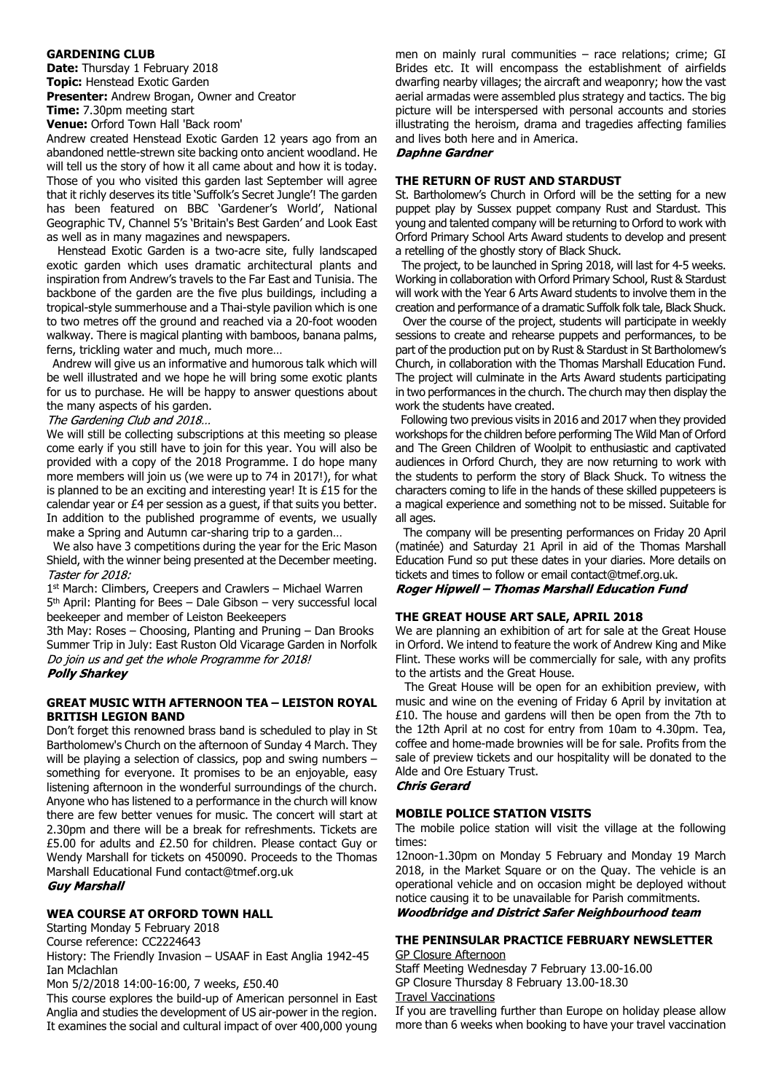#### **GARDENING CLUB**

**Date:** Thursday 1 February 2018 **Topic:** Henstead Exotic Garden **Presenter:** Andrew Brogan, Owner and Creator **Time:** 7.30pm meeting start

**Venue:** Orford Town Hall 'Back room'

Andrew created Henstead Exotic Garden 12 years ago from an abandoned nettle-strewn site backing onto ancient woodland. He will tell us the story of how it all came about and how it is today. Those of you who visited this garden last September will agree that it richly deserves its title 'Suffolk's Secret Jungle'! The garden has been featured on BBC 'Gardener's World', National Geographic TV, Channel 5's 'Britain's Best Garden' and Look East as well as in many magazines and newspapers.

 Henstead Exotic Garden is a two-acre site, fully landscaped exotic garden which uses dramatic architectural plants and inspiration from Andrew's travels to the Far East and Tunisia. The backbone of the garden are the five plus buildings, including a tropical-style summerhouse and a Thai-style pavilion which is one to two metres off the ground and reached via a 20-foot wooden walkway. There is magical planting with bamboos, banana palms, ferns, trickling water and much, much more…

 Andrew will give us an informative and humorous talk which will be well illustrated and we hope he will bring some exotic plants for us to purchase. He will be happy to answer questions about the many aspects of his garden.

The Gardening Club and 2018...

We will still be collecting subscriptions at this meeting so please come early if you still have to join for this year. You will also be provided with a copy of the 2018 Programme. I do hope many more members will join us (we were up to 74 in 2017!), for what is planned to be an exciting and interesting year! It is £15 for the calendar year or £4 per session as a guest, if that suits you better. In addition to the published programme of events, we usually make a Spring and Autumn car-sharing trip to a garden…

 We also have 3 competitions during the year for the Eric Mason Shield, with the winner being presented at the December meeting. Taster for 2018:

1 st March: Climbers, Creepers and Crawlers – Michael Warren

5 th April: Planting for Bees – Dale Gibson – very successful local beekeeper and member of Leiston Beekeepers

3th May: Roses – Choosing, Planting and Pruning – Dan Brooks Summer Trip in July: East Ruston Old Vicarage Garden in Norfolk Do join us and get the whole Programme for 2018! **Polly Sharkey** 

#### **GREAT MUSIC WITH AFTERNOON TEA – LEISTON ROYAL BRITISH LEGION BAND**

Don't forget this renowned brass band is scheduled to play in St Bartholomew's Church on the afternoon of Sunday 4 March. They will be playing a selection of classics, pop and swing numbers something for everyone. It promises to be an enjoyable, easy listening afternoon in the wonderful surroundings of the church. Anyone who has listened to a performance in the church will know there are few better venues for music. The concert will start at 2.30pm and there will be a break for refreshments. Tickets are £5.00 for adults and £2.50 for children. Please contact Guy or Wendy Marshall for tickets on 450090. Proceeds to the Thomas Marshall Educational Fund contact@tmef.org.uk

**Guy Marshall** 

### **WEA COURSE AT ORFORD TOWN HALL**

Starting Monday 5 February 2018

Course reference: CC2224643

History: The Friendly Invasion – USAAF in East Anglia 1942-45 Ian Mclachlan

Mon 5/2/2018 14:00-16:00, 7 weeks, £50.40

This course explores the build-up of American personnel in East Anglia and studies the development of US air-power in the region. It examines the social and cultural impact of over 400,000 young

men on mainly rural communities – race relations; crime; GI Brides etc. It will encompass the establishment of airfields dwarfing nearby villages; the aircraft and weaponry; how the vast aerial armadas were assembled plus strategy and tactics. The big picture will be interspersed with personal accounts and stories illustrating the heroism, drama and tragedies affecting families and lives both here and in America.

#### **Daphne Gardner**

#### **THE RETURN OF RUST AND STARDUST**

St. Bartholomew's Church in Orford will be the setting for a new puppet play by Sussex puppet company Rust and Stardust. This young and talented company will be returning to Orford to work with Orford Primary School Arts Award students to develop and present a retelling of the ghostly story of Black Shuck.

 The project, to be launched in Spring 2018, will last for 4-5 weeks. Working in collaboration with Orford Primary School, Rust & Stardust will work with the Year 6 Arts Award students to involve them in the creation and performance of a dramatic Suffolk folk tale, Black Shuck.

 Over the course of the project, students will participate in weekly sessions to create and rehearse puppets and performances, to be part of the production put on by Rust & Stardust in St Bartholomew's Church, in collaboration with the Thomas Marshall Education Fund. The project will culminate in the Arts Award students participating in two performances in the church. The church may then display the work the students have created.

 Following two previous visits in 2016 and 2017 when they provided workshops for the children before performing The Wild Man of Orford and The Green Children of Woolpit to enthusiastic and captivated audiences in Orford Church, they are now returning to work with the students to perform the story of Black Shuck. To witness the characters coming to life in the hands of these skilled puppeteers is a magical experience and something not to be missed. Suitable for all ages.

 The company will be presenting performances on Friday 20 April (matinée) and Saturday 21 April in aid of the Thomas Marshall Education Fund so put these dates in your diaries. More details on tickets and times to follow or email contact@tmef.org.uk.

Roger Hipwell - Thomas Marshall Education Fund

### **THE GREAT HOUSE ART SALE, APRIL 2018**

We are planning an exhibition of art for sale at the Great House in Orford. We intend to feature the work of Andrew King and Mike Flint. These works will be commercially for sale, with any profits to the artists and the Great House.

 The Great House will be open for an exhibition preview, with music and wine on the evening of Friday 6 April by invitation at £10. The house and gardens will then be open from the 7th to the 12th April at no cost for entry from 10am to 4.30pm. Tea, coffee and home-made brownies will be for sale. Profits from the sale of preview tickets and our hospitality will be donated to the Alde and Ore Estuary Trust.

#### **Chris Gerard**

#### **MOBILE POLICE STATION VISITS**

The mobile police station will visit the village at the following times:

12noon-1.30pm on Monday 5 February and Monday 19 March 2018, in the Market Square or on the Quay. The vehicle is an operational vehicle and on occasion might be deployed without notice causing it to be unavailable for Parish commitments. **Woodbridge and District Safer Neighbourhood team** 

#### **THE PENINSULAR PRACTICE FEBRUARY NEWSLETTER** GP Closure Afternoon

Staff Meeting Wednesday 7 February 13.00-16.00 GP Closure Thursday 8 February 13.00-18.30

Travel Vaccinations

If you are travelling further than Europe on holiday please allow more than 6 weeks when booking to have your travel vaccination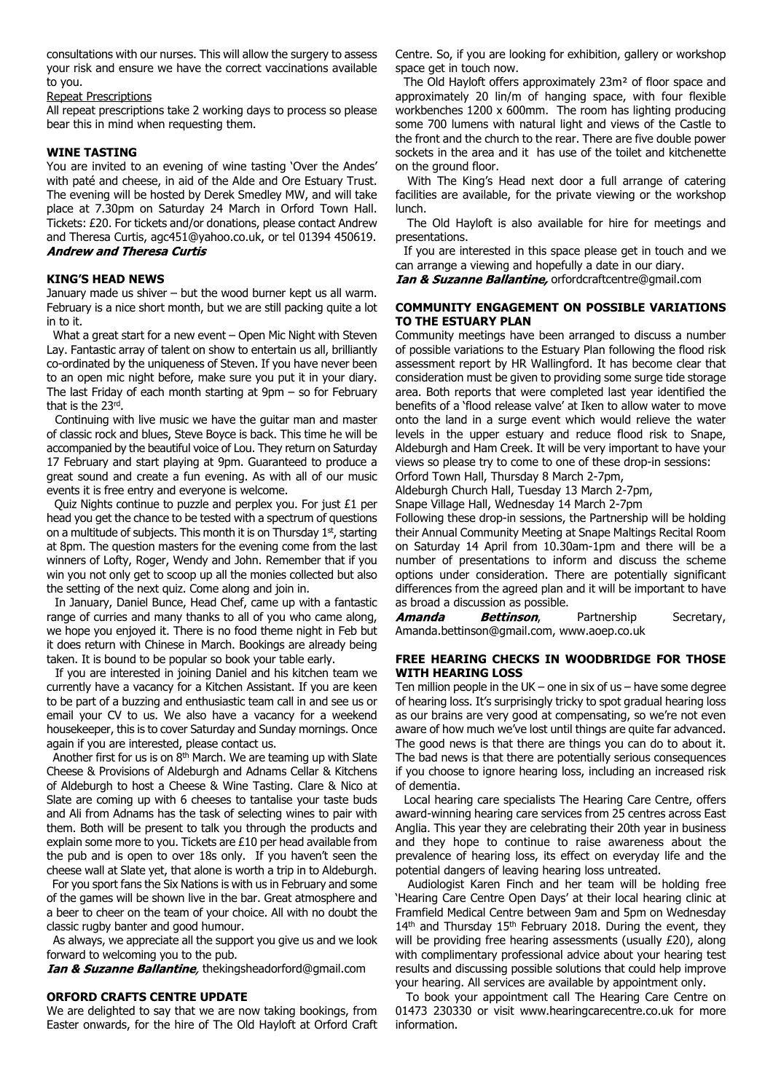consultations with our nurses. This will allow the surgery to assess your risk and ensure we have the correct vaccinations available to you.

#### Repeat Prescriptions

All repeat prescriptions take 2 working days to process so please bear this in mind when requesting them.

#### **WINE TASTING**

You are invited to an evening of wine tasting 'Over the Andes' with paté and cheese, in aid of the Alde and Ore Estuary Trust. The evening will be hosted by Derek Smedley MW, and will take place at 7.30pm on Saturday 24 March in Orford Town Hall. Tickets: £20. For tickets and/or donations, please contact Andrew and Theresa Curtis, agc451@yahoo.co.uk, or tel 01394 450619. **Andrew and Theresa Curtis** 

#### **KING'S HEAD NEWS**

January made us shiver – but the wood burner kept us all warm. February is a nice short month, but we are still packing quite a lot in to it.

What a great start for a new event – Open Mic Night with Steven Lay. Fantastic array of talent on show to entertain us all, brilliantly co-ordinated by the uniqueness of Steven. If you have never been to an open mic night before, make sure you put it in your diary. The last Friday of each month starting at 9pm – so for February that is the 23rd .

 Continuing with live music we have the guitar man and master of classic rock and blues, Steve Boyce is back. This time he will be accompanied by the beautiful voice of Lou. They return on Saturday 17 February and start playing at 9pm. Guaranteed to produce a great sound and create a fun evening. As with all of our music events it is free entry and everyone is welcome.

 Quiz Nights continue to puzzle and perplex you. For just £1 per head you get the chance to be tested with a spectrum of questions on a multitude of subjects. This month it is on Thursday 1<sup>st</sup>, starting at 8pm. The question masters for the evening come from the last winners of Lofty, Roger, Wendy and John. Remember that if you win you not only get to scoop up all the monies collected but also the setting of the next quiz. Come along and join in.

 In January, Daniel Bunce, Head Chef, came up with a fantastic range of curries and many thanks to all of you who came along, we hope you enjoyed it. There is no food theme night in Feb but it does return with Chinese in March. Bookings are already being taken. It is bound to be popular so book your table early.

 If you are interested in joining Daniel and his kitchen team we currently have a vacancy for a Kitchen Assistant. If you are keen to be part of a buzzing and enthusiastic team call in and see us or email your CV to us. We also have a vacancy for a weekend housekeeper, this is to cover Saturday and Sunday mornings. Once again if you are interested, please contact us.

 Another first for us is on 8th March. We are teaming up with Slate Cheese & Provisions of Aldeburgh and Adnams Cellar & Kitchens of Aldeburgh to host a Cheese & Wine Tasting. Clare & Nico at Slate are coming up with 6 cheeses to tantalise your taste buds and Ali from Adnams has the task of selecting wines to pair with them. Both will be present to talk you through the products and explain some more to you. Tickets are £10 per head available from the pub and is open to over 18s only. If you haven't seen the cheese wall at Slate yet, that alone is worth a trip in to Aldeburgh.

 For you sport fans the Six Nations is with us in February and some of the games will be shown live in the bar. Great atmosphere and a beer to cheer on the team of your choice. All with no doubt the classic rugby banter and good humour.

 As always, we appreciate all the support you give us and we look forward to welcoming you to the pub.

Ian & Suzanne Ballantine, thekingsheadorford@gmail.com

#### **ORFORD CRAFTS CENTRE UPDATE**

We are delighted to say that we are now taking bookings, from Easter onwards, for the hire of The Old Hayloft at Orford Craft Centre. So, if you are looking for exhibition, gallery or workshop space get in touch now.

 The Old Hayloft offers approximately 23m² of floor space and approximately 20 lin/m of hanging space, with four flexible workbenches 1200 x 600mm. The room has lighting producing some 700 lumens with natural light and views of the Castle to the front and the church to the rear. There are five double power sockets in the area and it has use of the toilet and kitchenette on the ground floor.

 With The King's Head next door a full arrange of catering facilities are available, for the private viewing or the workshop lunch.

 The Old Hayloft is also available for hire for meetings and presentations.

 If you are interested in this space please get in touch and we can arrange a viewing and hopefully a date in our diary.

**Ian & Suzanne Ballantine, orfordcraftcentre@gmail.com** 

### **COMMUNITY ENGAGEMENT ON POSSIBLE VARIATIONS TO THE ESTUARY PLAN**

Community meetings have been arranged to discuss a number of possible variations to the Estuary Plan following the flood risk assessment report by HR Wallingford. It has become clear that consideration must be given to providing some surge tide storage area. Both reports that were completed last year identified the benefits of a 'flood release valve' at Iken to allow water to move onto the land in a surge event which would relieve the water levels in the upper estuary and reduce flood risk to Snape, Aldeburgh and Ham Creek. It will be very important to have your views so please try to come to one of these drop-in sessions: Orford Town Hall, Thursday 8 March 2-7pm,

Aldeburgh Church Hall, Tuesday 13 March 2-7pm,

Snape Village Hall, Wednesday 14 March 2-7pm

Following these drop-in sessions, the Partnership will be holding their Annual Community Meeting at Snape Maltings Recital Room on Saturday 14 April from 10.30am-1pm and there will be a number of presentations to inform and discuss the scheme options under consideration. There are potentially significant differences from the agreed plan and it will be important to have as broad a discussion as possible.

Amanda Bettinson, Partnership Secretary, Amanda.bettinson@gmail.com, www.aoep.co.uk

#### **FREE HEARING CHECKS IN WOODBRIDGE FOR THOSE WITH HEARING LOSS**

Ten million people in the UK – one in six of us – have some degree of hearing loss. It's surprisingly tricky to spot gradual hearing loss as our brains are very good at compensating, so we're not even aware of how much we've lost until things are quite far advanced. The good news is that there are things you can do to about it. The bad news is that there are potentially serious consequences if you choose to ignore hearing loss, including an increased risk of dementia.

 Local hearing care specialists The Hearing Care Centre, offers award-winning hearing care services from 25 centres across East Anglia. This year they are celebrating their 20th year in business and they hope to continue to raise awareness about the prevalence of hearing loss, its effect on everyday life and the potential dangers of leaving hearing loss untreated.

 Audiologist Karen Finch and her team will be holding free 'Hearing Care Centre Open Days' at their local hearing clinic at Framfield Medical Centre between 9am and 5pm on Wednesday  $14<sup>th</sup>$  and Thursday  $15<sup>th</sup>$  February 2018. During the event, they will be providing free hearing assessments (usually £20), along with complimentary professional advice about your hearing test results and discussing possible solutions that could help improve your hearing. All services are available by appointment only.

 To book your appointment call The Hearing Care Centre on 01473 230330 or visit www.hearingcarecentre.co.uk for more information.